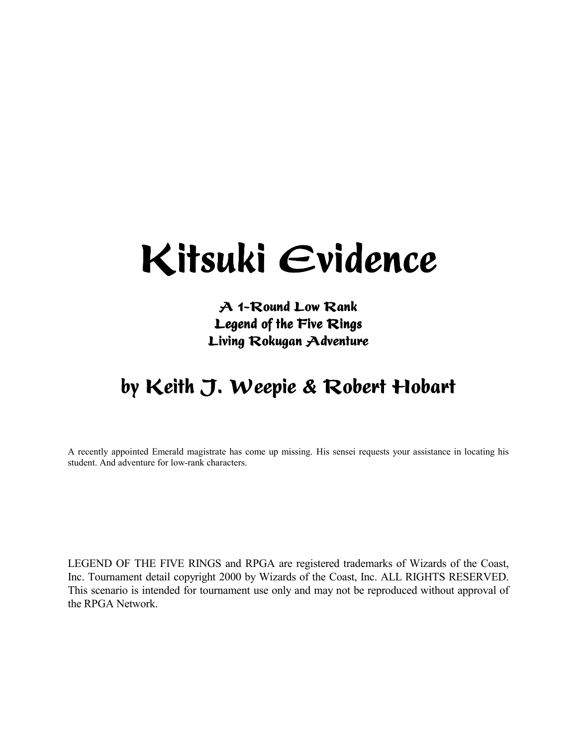# Kitsuki Evidence

A 1-Round Low Rank Legend of the Five Rings Living Rokugan Adventure

## by Keith J. Weepie & Robert Hobart

A recently appointed Emerald magistrate has come up missing. His sensei requests your assistance in locating his student. And adventure for low-rank characters.

LEGEND OF THE FIVE RINGS and RPGA are registered trademarks of Wizards of the Coast, Inc. Tournament detail copyright 2000 by Wizards of the Coast, Inc. ALL RIGHTS RESERVED. This scenario is intended for tournament use only and may not be reproduced without approval of the RPGA Network.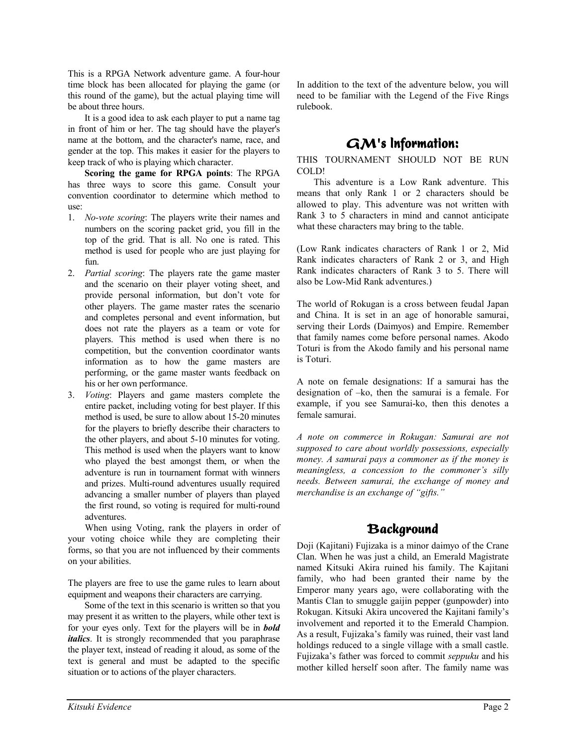This is a RPGA Network adventure game. A four-hour time block has been allocated for playing the game (or this round of the game), but the actual playing time will be about three hours.

 It is a good idea to ask each player to put a name tag in front of him or her. The tag should have the player's name at the bottom, and the character's name, race, and gender at the top. This makes it easier for the players to keep track of who is playing which character.

**Scoring the game for RPGA points**: The RPGA has three ways to score this game. Consult your convention coordinator to determine which method to use:

- 1. *No-vote scoring*: The players write their names and numbers on the scoring packet grid, you fill in the top of the grid. That is all. No one is rated. This method is used for people who are just playing for fun.
- 2. *Partial scoring*: The players rate the game master and the scenario on their player voting sheet, and provide personal information, but don't vote for other players. The game master rates the scenario and completes personal and event information, but does not rate the players as a team or vote for players. This method is used when there is no competition, but the convention coordinator wants information as to how the game masters are performing, or the game master wants feedback on his or her own performance.
- 3. *Voting*: Players and game masters complete the entire packet, including voting for best player. If this method is used, be sure to allow about 15-20 minutes for the players to briefly describe their characters to the other players, and about 5-10 minutes for voting. This method is used when the players want to know who played the best amongst them, or when the adventure is run in tournament format with winners and prizes. Multi-round adventures usually required advancing a smaller number of players than played the first round, so voting is required for multi-round adventures.

 When using Voting, rank the players in order of your voting choice while they are completing their forms, so that you are not influenced by their comments on your abilities.

The players are free to use the game rules to learn about equipment and weapons their characters are carrying.

 Some of the text in this scenario is written so that you may present it as written to the players, while other text is for your eyes only. Text for the players will be in *bold italics*. It is strongly recommended that you paraphrase the player text, instead of reading it aloud, as some of the text is general and must be adapted to the specific situation or to actions of the player characters.

In addition to the text of the adventure below, you will need to be familiar with the Legend of the Five Rings rulebook.

## $\boldsymbol{G}\boldsymbol{\mathcal{M}}$ 's Information:

THIS TOURNAMENT SHOULD NOT BE RUN COLD!

 This adventure is a Low Rank adventure. This means that only Rank 1 or 2 characters should be allowed to play. This adventure was not written with Rank 3 to 5 characters in mind and cannot anticipate what these characters may bring to the table.

(Low Rank indicates characters of Rank 1 or 2, Mid Rank indicates characters of Rank 2 or 3, and High Rank indicates characters of Rank 3 to 5. There will also be Low-Mid Rank adventures.)

The world of Rokugan is a cross between feudal Japan and China. It is set in an age of honorable samurai, serving their Lords (Daimyos) and Empire. Remember that family names come before personal names. Akodo Toturi is from the Akodo family and his personal name is Toturi.

A note on female designations: If a samurai has the designation of  $-ko$ , then the samurai is a female. For example, if you see Samurai-ko, then this denotes a female samurai.

*A note on commerce in Rokugan: Samurai are not supposed to care about worldly possessions, especially money. A samurai pays a commoner as if the money is meaningless, a concession to the commoner's silly needs. Between samurai, the exchange of money and merchandise is an exchange of "gifts.*"

## Background

Doji (Kajitani) Fujizaka is a minor daimyo of the Crane Clan. When he was just a child, an Emerald Magistrate named Kitsuki Akira ruined his family. The Kajitani family, who had been granted their name by the Emperor many years ago, were collaborating with the Mantis Clan to smuggle gaijin pepper (gunpowder) into Rokugan. Kitsuki Akira uncovered the Kajitani family's involvement and reported it to the Emerald Champion. As a result, Fujizaka's family was ruined, their vast land holdings reduced to a single village with a small castle. Fujizaka's father was forced to commit *seppuku* and his mother killed herself soon after. The family name was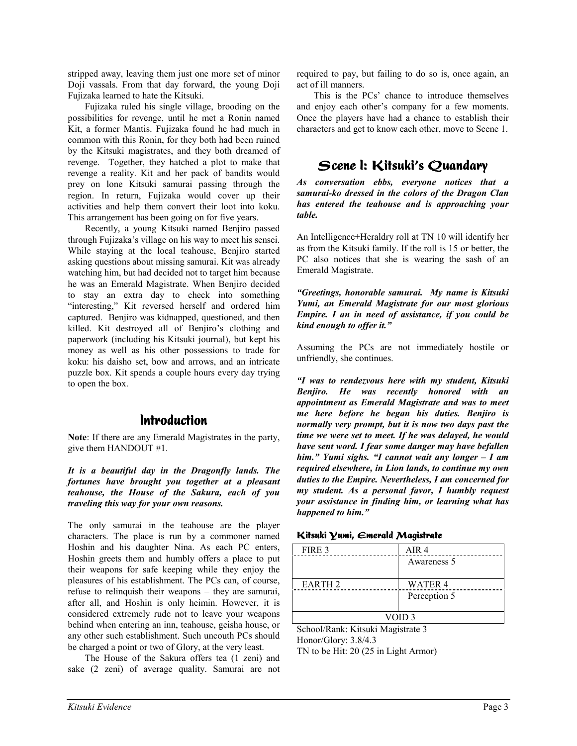stripped away, leaving them just one more set of minor Doji vassals. From that day forward, the young Doji Fujizaka learned to hate the Kitsuki.

 Fujizaka ruled his single village, brooding on the possibilities for revenge, until he met a Ronin named Kit, a former Mantis. Fujizaka found he had much in common with this Ronin, for they both had been ruined by the Kitsuki magistrates, and they both dreamed of revenge. Together, they hatched a plot to make that revenge a reality. Kit and her pack of bandits would prey on lone Kitsuki samurai passing through the region. In return, Fujizaka would cover up their activities and help them convert their loot into koku. This arrangement has been going on for five years.

 Recently, a young Kitsuki named Benjiro passed through Fujizaka's village on his way to meet his sensei. While staying at the local teahouse, Benjiro started asking questions about missing samurai. Kit was already watching him, but had decided not to target him because he was an Emerald Magistrate. When Benjiro decided to stay an extra day to check into something "interesting," Kit reversed herself and ordered him captured. Benjiro was kidnapped, questioned, and then killed. Kit destroyed all of Benjiro's clothing and paperwork (including his Kitsuki journal), but kept his money as well as his other possessions to trade for koku: his daisho set, bow and arrows, and an intricate puzzle box. Kit spends a couple hours every day trying to open the box.

## <u>Introduction</u>

**Note**: If there are any Emerald Magistrates in the party, give them HANDOUT #1.

*It is a beautiful day in the Dragonfly lands. The fortunes have brought you together at a pleasant teahouse, the House of the Sakura, each of you traveling this way for your own reasons.* 

The only samurai in the teahouse are the player characters. The place is run by a commoner named Hoshin and his daughter Nina. As each PC enters, Hoshin greets them and humbly offers a place to put their weapons for safe keeping while they enjoy the pleasures of his establishment. The PCs can, of course, refuse to relinquish their weapons  $-$  they are samurai, after all, and Hoshin is only heimin. However, it is considered extremely rude not to leave your weapons behind when entering an inn, teahouse, geisha house, or any other such establishment. Such uncouth PCs should be charged a point or two of Glory, at the very least.

The House of the Sakura offers tea (1 zeni) and sake (2 zeni) of average quality. Samurai are not required to pay, but failing to do so is, once again, an act of ill manners.

This is the PCs' chance to introduce themselves and enjoy each other's company for a few moments. Once the players have had a chance to establish their characters and get to know each other, move to Scene 1.

## Scene l: Kitsuki's Quandary

*As conversation ebbs, everyone notices that a samurai-ko dressed in the colors of the Dragon Clan has entered the teahouse and is approaching your table.* 

An Intelligence+Heraldry roll at TN 10 will identify her as from the Kitsuki family. If the roll is 15 or better, the PC also notices that she is wearing the sash of an Emerald Magistrate.

*ìGreetings, honorable samurai. My name is Kitsuki Yumi, an Emerald Magistrate for our most glorious Empire. I an in need of assistance, if you could be kind enough to offer it.î* 

Assuming the PCs are not immediately hostile or unfriendly, she continues.

*ìI was to rendezvous here with my student, Kitsuki Benjiro. He was recently honored with an appointment as Emerald Magistrate and was to meet me here before he began his duties. Benjiro is normally very prompt, but it is now two days past the time we were set to meet. If he was delayed, he would have sent word. I fear some danger may have befallen him.*" *Yumi sighs.* "*I cannot wait any longer – I am required elsewhere, in Lion lands, to continue my own duties to the Empire. Nevertheless, I am concerned for my student. As a personal favor, I humbly request your assistance in finding him, or learning what has happened to him.*"

| Kitsuki Yumi, Emerald Magistrate |  |  |
|----------------------------------|--|--|
|----------------------------------|--|--|

| FIRE 3                  | AIR <sub>4</sub> |  |
|-------------------------|------------------|--|
|                         | Awareness 5      |  |
|                         |                  |  |
| EARTH <sub>2</sub>      | <b>WATER 4</b>   |  |
|                         | Perception 5     |  |
|                         |                  |  |
| VOID 3                  |                  |  |
| $\sim$<br>$\sim$ $\sim$ |                  |  |

School/Rank: Kitsuki Magistrate 3 Honor/Glory: 3.8/4.3 TN to be Hit: 20 (25 in Light Armor)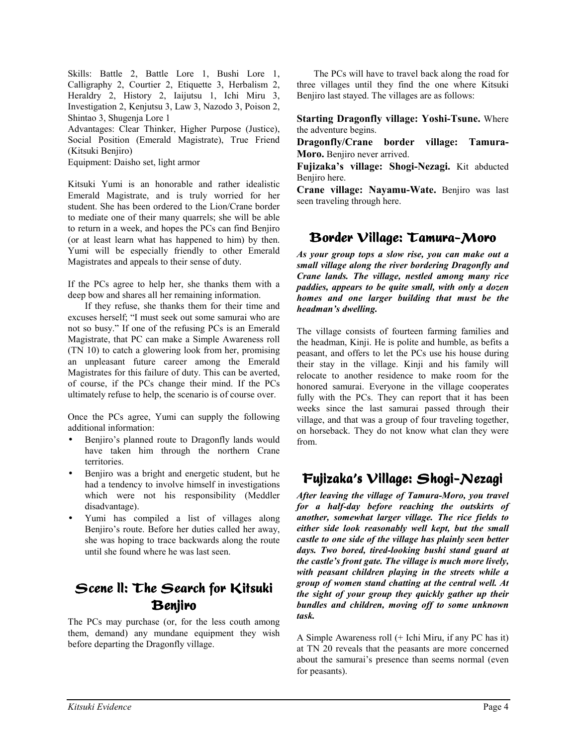Skills: Battle 2, Battle Lore 1, Bushi Lore 1, Calligraphy 2, Courtier 2, Etiquette 3, Herbalism 2, Heraldry 2, History 2, Iaijutsu 1, Ichi Miru 3, Investigation 2, Kenjutsu 3, Law 3, Nazodo 3, Poison 2, Shintao 3, Shugenja Lore 1 Advantages: Clear Thinker, Higher Purpose (Justice), Social Position (Emerald Magistrate), True Friend

(Kitsuki Benjiro) Equipment: Daisho set, light armor

Kitsuki Yumi is an honorable and rather idealistic Emerald Magistrate, and is truly worried for her student. She has been ordered to the Lion/Crane border to mediate one of their many quarrels; she will be able to return in a week, and hopes the PCs can find Benjiro (or at least learn what has happened to him) by then. Yumi will be especially friendly to other Emerald Magistrates and appeals to their sense of duty.

If the PCs agree to help her, she thanks them with a deep bow and shares all her remaining information.

 If they refuse, she thanks them for their time and excuses herself; "I must seek out some samurai who are not so busy." If one of the refusing PCs is an Emerald Magistrate, that PC can make a Simple Awareness roll (TN 10) to catch a glowering look from her, promising an unpleasant future career among the Emerald Magistrates for this failure of duty. This can be averted, of course, if the PCs change their mind. If the PCs ultimately refuse to help, the scenario is of course over.

Once the PCs agree, Yumi can supply the following additional information:

- Benjiro's planned route to Dragonfly lands would have taken him through the northern Crane territories.
- Benjiro was a bright and energetic student, but he had a tendency to involve himself in investigations which were not his responsibility (Meddler disadvantage).
- Yumi has compiled a list of villages along Benjiro's route. Before her duties called her away, she was hoping to trace backwards along the route until she found where he was last seen.

## Scene II: The Search for Kitsuki Benjiro

The PCs may purchase (or, for the less couth among them, demand) any mundane equipment they wish before departing the Dragonfly village.

 The PCs will have to travel back along the road for three villages until they find the one where Kitsuki Benjiro last stayed. The villages are as follows:

**Starting Dragonfly village: Yoshi-Tsune.** Where the adventure begins.

**Dragonfly/Crane border village: Tamura-Moro.** Benjiro never arrived.

**Fujizakaís village: Shogi-Nezagi.** Kit abducted Beniiro here.

**Crane village: Nayamu-Wate.** Benjiro was last seen traveling through here.

## Border Village: Tamura-Moro

*As your group tops a slow rise, you can make out a small village along the river bordering Dragonfly and Crane lands. The village, nestled among many rice paddies, appears to be quite small, with only a dozen homes and one larger building that must be the*  headman's dwelling.

The village consists of fourteen farming families and the headman, Kinji. He is polite and humble, as befits a peasant, and offers to let the PCs use his house during their stay in the village. Kinji and his family will relocate to another residence to make room for the honored samurai. Everyone in the village cooperates fully with the PCs. They can report that it has been weeks since the last samurai passed through their village, and that was a group of four traveling together, on horseback. They do not know what clan they were from.

## Fujizaka's Village: Shogi-Nezagi

*After leaving the village of Tamura-Moro, you travel for a half-day before reaching the outskirts of another, somewhat larger village. The rice fields to either side look reasonably well kept, but the small castle to one side of the village has plainly seen better days. Two bored, tired-looking bushi stand guard at the castle's front gate. The village is much more lively, with peasant children playing in the streets while a group of women stand chatting at the central well. At the sight of your group they quickly gather up their bundles and children, moving off to some unknown task.* 

A Simple Awareness roll (+ Ichi Miru, if any PC has it) at TN 20 reveals that the peasants are more concerned about the samurai's presence than seems normal (even for peasants).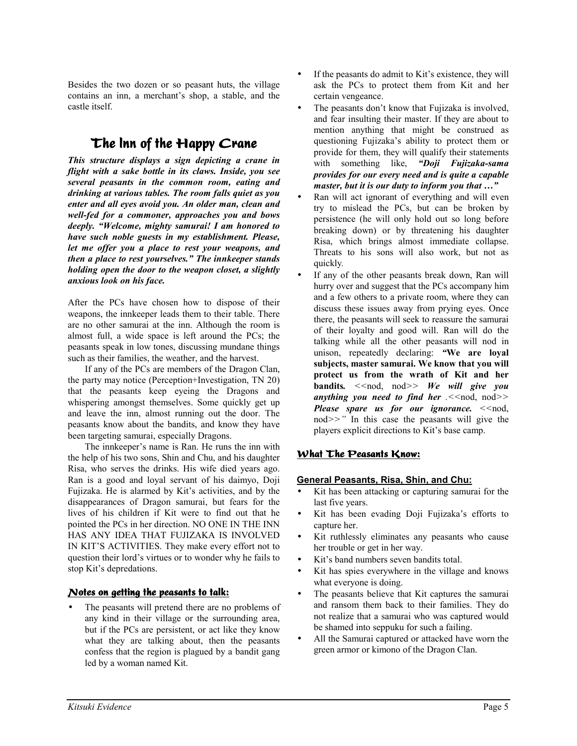Besides the two dozen or so peasant huts, the village contains an inn, a merchant's shop, a stable, and the castle itself.

## The Inn of the Happy Crane

*This structure displays a sign depicting a crane in flight with a sake bottle in its claws. Inside, you see several peasants in the common room, eating and drinking at various tables. The room falls quiet as you enter and all eyes avoid you. An older man, clean and well-fed for a commoner, approaches you and bows*  deeply. "Welcome, mighty samurai! I am honored to *have such noble guests in my establishment. Please, let me offer you a place to rest your weapons, and then a place to rest yourselves.*" The innkeeper stands *holding open the door to the weapon closet, a slightly anxious look on his face.* 

After the PCs have chosen how to dispose of their weapons, the innkeeper leads them to their table. There are no other samurai at the inn. Although the room is almost full, a wide space is left around the PCs; the peasants speak in low tones, discussing mundane things such as their families, the weather, and the harvest.

 If any of the PCs are members of the Dragon Clan, the party may notice (Perception+Investigation, TN 20) that the peasants keep eyeing the Dragons and whispering amongst themselves. Some quickly get up and leave the inn, almost running out the door. The peasants know about the bandits, and know they have been targeting samurai, especially Dragons.

The innkeeper's name is Ran. He runs the inn with the help of his two sons, Shin and Chu, and his daughter Risa, who serves the drinks. His wife died years ago. Ran is a good and loyal servant of his daimyo, Doji Fujizaka. He is alarmed by Kit's activities, and by the disappearances of Dragon samurai, but fears for the lives of his children if Kit were to find out that he pointed the PCs in her direction. NO ONE IN THE INN HAS ANY IDEA THAT FUJIZAKA IS INVOLVED IN KIT'S ACTIVITIES. They make every effort not to question their lord's virtues or to wonder why he fails to stop Kit's depredations.

#### <u>Notes on getting the peasants to talk:</u>

The peasants will pretend there are no problems of any kind in their village or the surrounding area, but if the PCs are persistent, or act like they know what they are talking about, then the peasants confess that the region is plagued by a bandit gang led by a woman named Kit.

- If the peasants do admit to Kit's existence, they will ask the PCs to protect them from Kit and her certain vengeance.
- The peasants don't know that Fujizaka is involved, and fear insulting their master. If they are about to mention anything that might be construed as questioning Fujizaka's ability to protect them or provide for them, they will qualify their statements with something like, "Doji Fujizaka-sama *provides for our every need and is quite a capable master, but it is our duty to inform you that ...*"
- Ran will act ignorant of everything and will even try to mislead the PCs, but can be broken by persistence (he will only hold out so long before breaking down) or by threatening his daughter Risa, which brings almost immediate collapse. Threats to his sons will also work, but not as quickly*.*
- If any of the other peasants break down, Ran will hurry over and suggest that the PCs accompany him and a few others to a private room, where they can discuss these issues away from prying eyes. Once there, the peasants will seek to reassure the samurai of their loyalty and good will. Ran will do the talking while all the other peasants will nod in unison, repeatedly declaring: "We are loyal **subjects, master samurai. We know that you will protect us from the wrath of Kit and her bandits***. <<*nod, nod*>> We will give you anything you need to find her .<<*nod, nod*>> Please spare us for our ignorance. <<*nod, nod*>>î* In this case the peasants will give the players explicit directions to Kit's base camp.

#### <u> What The Peasants Know:</u>

#### **General Peasants, Risa, Shin, and Chu:**

- Kit has been attacking or capturing samurai for the last five years.
- Kit has been evading Doji Fujizaka's efforts to capture her.
- Kit ruthlessly eliminates any peasants who cause her trouble or get in her way.
- Kit's band numbers seven bandits total.
- Kit has spies everywhere in the village and knows what everyone is doing.
- The peasants believe that Kit captures the samurai and ransom them back to their families. They do not realize that a samurai who was captured would be shamed into seppuku for such a failing.
- All the Samurai captured or attacked have worn the green armor or kimono of the Dragon Clan.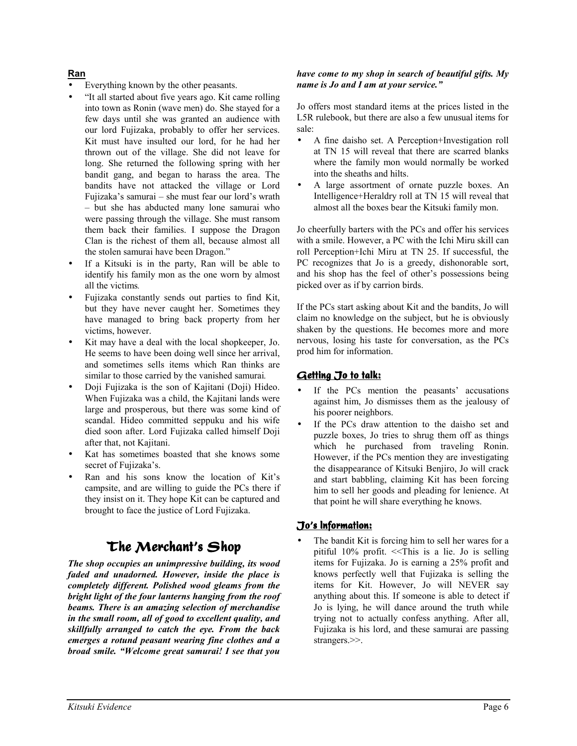#### **Ran**

- Everything known by the other peasants.
- "It all started about five years ago. Kit came rolling into town as Ronin (wave men) do. She stayed for a few days until she was granted an audience with our lord Fujizaka, probably to offer her services. Kit must have insulted our lord, for he had her thrown out of the village. She did not leave for long. She returned the following spring with her bandit gang, and began to harass the area. The bandits have not attacked the village or Lord Fujizaka's samurai – she must fear our lord's wrath - but she has abducted many lone samurai who were passing through the village. She must ransom them back their families. I suppose the Dragon Clan is the richest of them all, because almost all the stolen samurai have been Dragon."
- If a Kitsuki is in the party, Ran will be able to identify his family mon as the one worn by almost all the victims*.*
- Fujizaka constantly sends out parties to find Kit, but they have never caught her. Sometimes they have managed to bring back property from her victims, however.
- Kit may have a deal with the local shopkeeper, Jo. He seems to have been doing well since her arrival, and sometimes sells items which Ran thinks are similar to those carried by the vanished samurai*.*
- Doji Fujizaka is the son of Kajitani (Doji) Hideo. When Fujizaka was a child, the Kajitani lands were large and prosperous, but there was some kind of scandal. Hideo committed seppuku and his wife died soon after. Lord Fujizaka called himself Doji after that, not Kajitani.
- Kat has sometimes boasted that she knows some secret of Fujizaka's.
- Ran and his sons know the location of Kit's campsite, and are willing to guide the PCs there if they insist on it. They hope Kit can be captured and brought to face the justice of Lord Fujizaka.

## The Merchant's Shop

*The shop occupies an unimpressive building, its wood faded and unadorned. However, inside the place is completely different. Polished wood gleams from the bright light of the four lanterns hanging from the roof beams. There is an amazing selection of merchandise in the small room, all of good to excellent quality, and skillfully arranged to catch the eye. From the back emerges a rotund peasant wearing fine clothes and a broad smile.* "Welcome great samurai! I see that you

#### *have come to my shop in search of beautiful gifts. My name is Jo and I am at your service.*"

Jo offers most standard items at the prices listed in the L5R rulebook, but there are also a few unusual items for sale:

- A fine daisho set. A Perception+Investigation roll at TN 15 will reveal that there are scarred blanks where the family mon would normally be worked into the sheaths and hilts.
- A large assortment of ornate puzzle boxes. An Intelligence+Heraldry roll at TN 15 will reveal that almost all the boxes bear the Kitsuki family mon.

Jo cheerfully barters with the PCs and offer his services with a smile. However, a PC with the Ichi Miru skill can roll Perception+Ichi Miru at TN 25. If successful, the PC recognizes that Jo is a greedy, dishonorable sort, and his shop has the feel of other's possessions being picked over as if by carrion birds.

If the PCs start asking about Kit and the bandits, Jo will claim no knowledge on the subject, but he is obviously shaken by the questions. He becomes more and more nervous, losing his taste for conversation, as the PCs prod him for information.

#### <u>Getting Jo to talk:</u>

- If the PCs mention the peasants' accusations against him, Jo dismisses them as the jealousy of his poorer neighbors.
- If the PCs draw attention to the daisho set and puzzle boxes, Jo tries to shrug them off as things which he purchased from traveling Ronin. However, if the PCs mention they are investigating the disappearance of Kitsuki Benjiro, Jo will crack and start babbling, claiming Kit has been forcing him to sell her goods and pleading for lenience. At that point he will share everything he knows.

#### <u>Jo's Information:</u>

The bandit Kit is forcing him to sell her wares for a pitiful 10% profit. <<This is a lie. Jo is selling items for Fujizaka. Jo is earning a 25% profit and knows perfectly well that Fujizaka is selling the items for Kit. However, Jo will NEVER say anything about this. If someone is able to detect if Jo is lying, he will dance around the truth while trying not to actually confess anything. After all, Fujizaka is his lord, and these samurai are passing strangers.>>.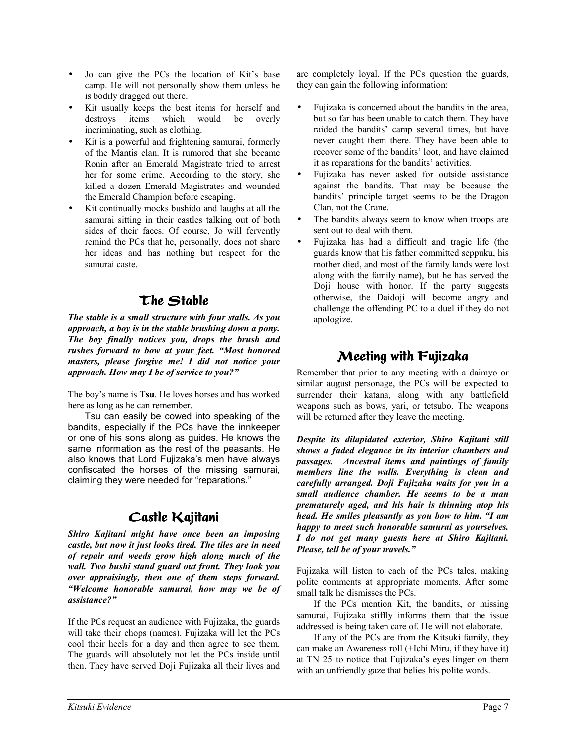- Jo can give the PCs the location of Kit's base camp. He will not personally show them unless he is bodily dragged out there.
- Kit usually keeps the best items for herself and destroys items which would be overly incriminating, such as clothing.
- Kit is a powerful and frightening samurai, formerly of the Mantis clan. It is rumored that she became Ronin after an Emerald Magistrate tried to arrest her for some crime. According to the story, she killed a dozen Emerald Magistrates and wounded the Emerald Champion before escaping.
- Kit continually mocks bushido and laughs at all the samurai sitting in their castles talking out of both sides of their faces. Of course, Jo will fervently remind the PCs that he, personally, does not share her ideas and has nothing but respect for the samurai caste.

## The Stable

*The stable is a small structure with four stalls. As you approach, a boy is in the stable brushing down a pony. The boy finally notices you, drops the brush and rushes forward to bow at your feet. "Most honored masters, please forgive me! I did not notice your approach. How may I be of service to you?*"

The boy's name is **Tsu**. He loves horses and has worked here as long as he can remember.

 Tsu can easily be cowed into speaking of the bandits, especially if the PCs have the innkeeper or one of his sons along as guides. He knows the same information as the rest of the peasants. He also knows that Lord Fujizaka's men have always confiscated the horses of the missing samurai, claiming they were needed for "reparations."

## Castle Kajitani

*Shiro Kajitani might have once been an imposing castle, but now it just looks tired. The tiles are in need of repair and weeds grow high along much of the wall. Two bushi stand guard out front. They look you over appraisingly, then one of them steps forward. ìWelcome honorable samurai, how may we be of assistance?î* 

If the PCs request an audience with Fujizaka, the guards will take their chops (names). Fujizaka will let the PCs cool their heels for a day and then agree to see them. The guards will absolutely not let the PCs inside until then. They have served Doji Fujizaka all their lives and are completely loyal. If the PCs question the guards, they can gain the following information:

- Fujizaka is concerned about the bandits in the area, but so far has been unable to catch them. They have raided the bandits' camp several times, but have never caught them there. They have been able to recover some of the bandits' loot, and have claimed it as reparations for the bandits' activities.
- Fujizaka has never asked for outside assistance against the bandits. That may be because the bandits' principle target seems to be the Dragon Clan, not the Crane.
- The bandits always seem to know when troops are sent out to deal with them.
- Fujizaka has had a difficult and tragic life (the guards know that his father committed seppuku, his mother died, and most of the family lands were lost along with the family name), but he has served the Doji house with honor. If the party suggests otherwise, the Daidoji will become angry and challenge the offending PC to a duel if they do not apologize.

## Meeting with Fujizaka

Remember that prior to any meeting with a daimyo or similar august personage, the PCs will be expected to surrender their katana, along with any battlefield weapons such as bows, yari, or tetsubo. The weapons will be returned after they leave the meeting.

*Despite its dilapidated exterior, Shiro Kajitani still shows a faded elegance in its interior chambers and passages. Ancestral items and paintings of family members line the walls. Everything is clean and carefully arranged. Doji Fujizaka waits for you in a small audience chamber. He seems to be a man prematurely aged, and his hair is thinning atop his head. He smiles pleasantly as you bow to him. "I am happy to meet such honorable samurai as yourselves. I do not get many guests here at Shiro Kajitani. Please, tell be of your travels.*"

Fujizaka will listen to each of the PCs tales, making polite comments at appropriate moments. After some small talk he dismisses the PCs.

 If the PCs mention Kit, the bandits, or missing samurai, Fujizaka stiffly informs them that the issue addressed is being taken care of. He will not elaborate.

 If any of the PCs are from the Kitsuki family, they can make an Awareness roll (+Ichi Miru, if they have it) at TN 25 to notice that Fujizaka's eyes linger on them with an unfriendly gaze that belies his polite words.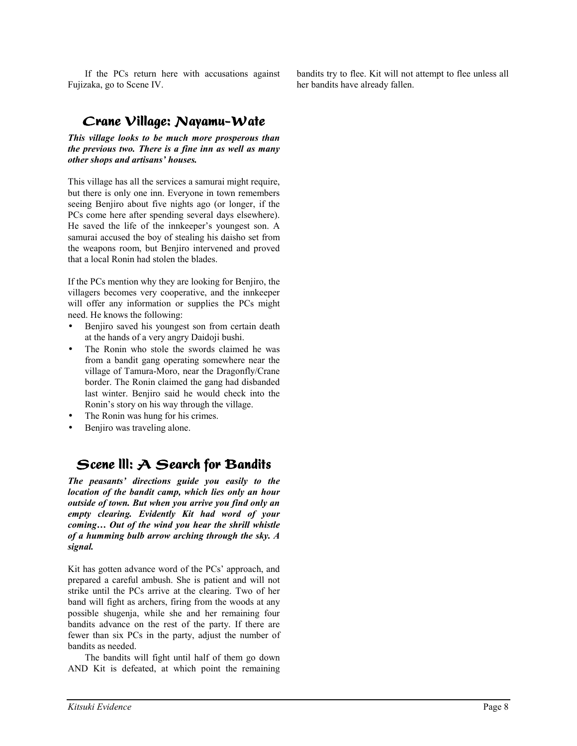If the PCs return here with accusations against Fujizaka, go to Scene IV.

bandits try to flee. Kit will not attempt to flee unless all her bandits have already fallen.

### Crane Village: Nayamu-Wate

*This village looks to be much more prosperous than the previous two. There is a fine inn as well as many other shops and artisans' houses.* 

This village has all the services a samurai might require, but there is only one inn. Everyone in town remembers seeing Benjiro about five nights ago (or longer, if the PCs come here after spending several days elsewhere). He saved the life of the innkeeper's youngest son. A samurai accused the boy of stealing his daisho set from the weapons room, but Benjiro intervened and proved that a local Ronin had stolen the blades.

If the PCs mention why they are looking for Benjiro, the villagers becomes very cooperative, and the innkeeper will offer any information or supplies the PCs might need. He knows the following:

- Benjiro saved his youngest son from certain death at the hands of a very angry Daidoji bushi.
- The Ronin who stole the swords claimed he was from a bandit gang operating somewhere near the village of Tamura-Moro, near the Dragonfly/Crane border. The Ronin claimed the gang had disbanded last winter. Benjiro said he would check into the Ronin's story on his way through the village.
- The Ronin was hung for his crimes.
- Benjiro was traveling alone.

## Scene III:  $A$  Search for Bandits

The peasants' directions guide you easily to the *location of the bandit camp, which lies only an hour outside of town. But when you arrive you find only an empty clearing. Evidently Kit had word of your coming... Out of the wind you hear the shrill whistle of a humming bulb arrow arching through the sky. A signal.* 

Kit has gotten advance word of the PCs' approach, and prepared a careful ambush. She is patient and will not strike until the PCs arrive at the clearing. Two of her band will fight as archers, firing from the woods at any possible shugenja, while she and her remaining four bandits advance on the rest of the party. If there are fewer than six PCs in the party, adjust the number of bandits as needed.

 The bandits will fight until half of them go down AND Kit is defeated, at which point the remaining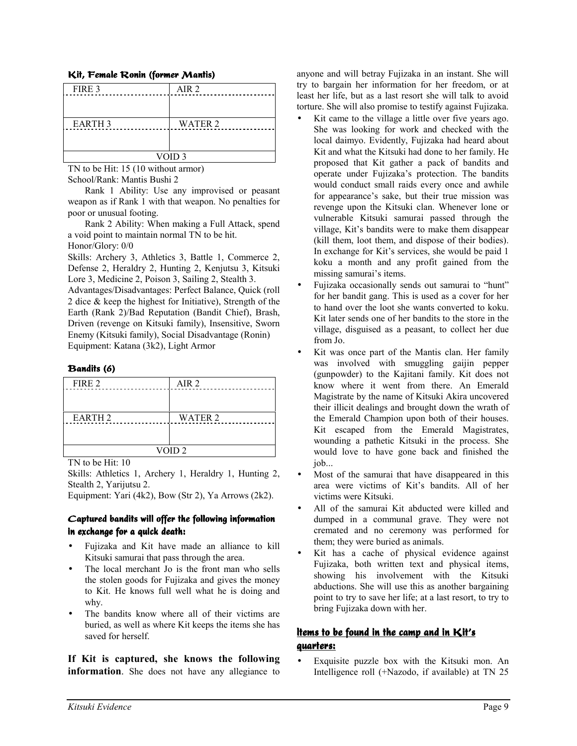#### Kit, Female Ronin (former Mantis)

| FIRE 3            | AIR <sub>2</sub> |  |
|-------------------|------------------|--|
|                   |                  |  |
|                   |                  |  |
| <b>EARTH 3</b>    | WATER 2          |  |
|                   |                  |  |
|                   |                  |  |
| VOID <sub>3</sub> |                  |  |

TN to be Hit: 15 (10 without armor) School/Rank: Mantis Bushi 2

 Rank 1 Ability: Use any improvised or peasant weapon as if Rank 1 with that weapon. No penalties for poor or unusual footing.

 Rank 2 Ability: When making a Full Attack, spend a void point to maintain normal TN to be hit.

Honor/Glory: 0/0

Skills: Archery 3, Athletics 3, Battle 1, Commerce 2, Defense 2, Heraldry 2, Hunting 2, Kenjutsu 3, Kitsuki Lore 3, Medicine 2, Poison 3, Sailing 2, Stealth 3.

Advantages/Disadvantages: Perfect Balance, Quick (roll 2 dice & keep the highest for Initiative), Strength of the Earth (Rank 2)/Bad Reputation (Bandit Chief), Brash, Driven (revenge on Kitsuki family), Insensitive, Sworn Enemy (Kitsuki family), Social Disadvantage (Ronin) Equipment: Katana (3k2), Light Armor

#### Bandits (6)

| FIRE 2            | AIR <sub>2</sub> |  |  |
|-------------------|------------------|--|--|
|                   |                  |  |  |
|                   |                  |  |  |
| <b>EARTH 2</b>    | <b>WATER 2</b>   |  |  |
|                   |                  |  |  |
|                   |                  |  |  |
| VOID <sub>2</sub> |                  |  |  |
|                   |                  |  |  |

TN to be Hit: 10

Skills: Athletics 1, Archery 1, Heraldry 1, Hunting 2, Stealth 2, Yarijutsu 2.

Equipment: Yari (4k2), Bow (Str 2), Ya Arrows (2k2).

#### Captured bandits will offer the following information in exchange for a quick death:

- Fujizaka and Kit have made an alliance to kill Kitsuki samurai that pass through the area.
- The local merchant Jo is the front man who sells the stolen goods for Fujizaka and gives the money to Kit. He knows full well what he is doing and why.
- The bandits know where all of their victims are buried, as well as where Kit keeps the items she has saved for herself.

**If Kit is captured, she knows the following information**. She does not have any allegiance to anyone and will betray Fujizaka in an instant. She will try to bargain her information for her freedom, or at least her life, but as a last resort she will talk to avoid torture. She will also promise to testify against Fujizaka.

- Kit came to the village a little over five years ago. She was looking for work and checked with the local daimyo. Evidently, Fujizaka had heard about Kit and what the Kitsuki had done to her family. He proposed that Kit gather a pack of bandits and operate under Fujizaka's protection. The bandits would conduct small raids every once and awhile for appearance's sake, but their true mission was revenge upon the Kitsuki clan. Whenever lone or vulnerable Kitsuki samurai passed through the village, Kit's bandits were to make them disappear (kill them, loot them, and dispose of their bodies). In exchange for Kit's services, she would be paid 1 koku a month and any profit gained from the missing samurai's items.
- Fujizaka occasionally sends out samurai to "hunt" for her bandit gang. This is used as a cover for her to hand over the loot she wants converted to koku. Kit later sends one of her bandits to the store in the village, disguised as a peasant, to collect her due from Jo.
- Kit was once part of the Mantis clan. Her family was involved with smuggling gaijin pepper (gunpowder) to the Kajitani family. Kit does not know where it went from there. An Emerald Magistrate by the name of Kitsuki Akira uncovered their illicit dealings and brought down the wrath of the Emerald Champion upon both of their houses. Kit escaped from the Emerald Magistrates, wounding a pathetic Kitsuki in the process. She would love to have gone back and finished the job...
- Most of the samurai that have disappeared in this area were victims of Kit's bandits. All of her victims were Kitsuki.
- All of the samurai Kit abducted were killed and dumped in a communal grave. They were not cremated and no ceremony was performed for them; they were buried as animals.
- Kit has a cache of physical evidence against Fujizaka, both written text and physical items, showing his involvement with the Kitsuki abductions. She will use this as another bargaining point to try to save her life; at a last resort, to try to bring Fujizaka down with her.

#### <u>ltems to be found in the camp and in Kit's </u> quarters:

Exquisite puzzle box with the Kitsuki mon. An Intelligence roll (+Nazodo, if available) at TN 25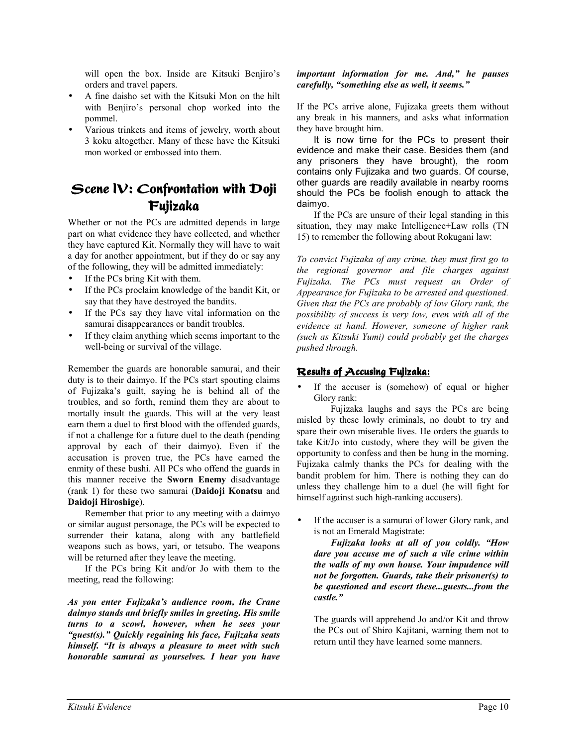will open the box. Inside are Kitsuki Benjiro's orders and travel papers.

- A fine daisho set with the Kitsuki Mon on the hilt with Benjiro's personal chop worked into the pommel.
- Various trinkets and items of jewelry, worth about 3 koku altogether. Many of these have the Kitsuki mon worked or embossed into them.

## $\mathbf{S}$ cene  $\mathbf{IV:}$  Confrontation with  $\mathbf{D}$ oji Fujizaka

Whether or not the PCs are admitted depends in large part on what evidence they have collected, and whether they have captured Kit. Normally they will have to wait a day for another appointment, but if they do or say any of the following, they will be admitted immediately:

- If the PCs bring Kit with them.
- If the PCs proclaim knowledge of the bandit Kit, or say that they have destroyed the bandits.
- If the PCs say they have vital information on the samurai disappearances or bandit troubles.
- If they claim anything which seems important to the well-being or survival of the village.

Remember the guards are honorable samurai, and their duty is to their daimyo. If the PCs start spouting claims of Fujizakaís guilt, saying he is behind all of the troubles, and so forth, remind them they are about to mortally insult the guards. This will at the very least earn them a duel to first blood with the offended guards, if not a challenge for a future duel to the death (pending approval by each of their daimyo). Even if the accusation is proven true, the PCs have earned the enmity of these bushi. All PCs who offend the guards in this manner receive the **Sworn Enemy** disadvantage (rank 1) for these two samurai (**Daidoji Konatsu** and **Daidoji Hiroshige**).

 Remember that prior to any meeting with a daimyo or similar august personage, the PCs will be expected to surrender their katana, along with any battlefield weapons such as bows, yari, or tetsubo. The weapons will be returned after they leave the meeting.

 If the PCs bring Kit and/or Jo with them to the meeting, read the following:

As you enter Fujizaka's audience room, the Crane *daimyo stands and briefly smiles in greeting. His smile turns to a scowl, however, when he sees your ìguest(s).î Quickly regaining his face, Fujizaka seats himself.* "It is always a pleasure to meet with such *honorable samurai as yourselves. I hear you have* 

#### *important information for me. And,*" *he pauses carefully, "something else as well, it seems."*

If the PCs arrive alone, Fujizaka greets them without any break in his manners, and asks what information they have brought him.

 It is now time for the PCs to present their evidence and make their case. Besides them (and any prisoners they have brought), the room contains only Fujizaka and two guards. Of course, other guards are readily available in nearby rooms should the PCs be foolish enough to attack the daimyo.

 If the PCs are unsure of their legal standing in this situation, they may make Intelligence+Law rolls (TN 15) to remember the following about Rokugani law:

*To convict Fujizaka of any crime, they must first go to the regional governor and file charges against Fujizaka. The PCs must request an Order of Appearance for Fujizaka to be arrested and questioned. Given that the PCs are probably of low Glory rank, the possibility of success is very low, even with all of the evidence at hand. However, someone of higher rank (such as Kitsuki Yumi) could probably get the charges pushed through.* 

#### <u>Results of Accusing Fujizaka:</u>

If the accuser is (somehow) of equal or higher Glory rank:

 Fujizaka laughs and says the PCs are being misled by these lowly criminals, no doubt to try and spare their own miserable lives. He orders the guards to take Kit/Jo into custody, where they will be given the opportunity to confess and then be hung in the morning. Fujizaka calmly thanks the PCs for dealing with the bandit problem for him. There is nothing they can do unless they challenge him to a duel (he will fight for himself against such high-ranking accusers).

If the accuser is a samurai of lower Glory rank, and is not an Emerald Magistrate:

Fujizaka looks at all of you coldly. "How *dare you accuse me of such a vile crime within the walls of my own house. Your impudence will not be forgotten. Guards, take their prisoner(s) to be questioned and escort these...guests...from the castle.î* 

The guards will apprehend Jo and/or Kit and throw the PCs out of Shiro Kajitani, warning them not to return until they have learned some manners.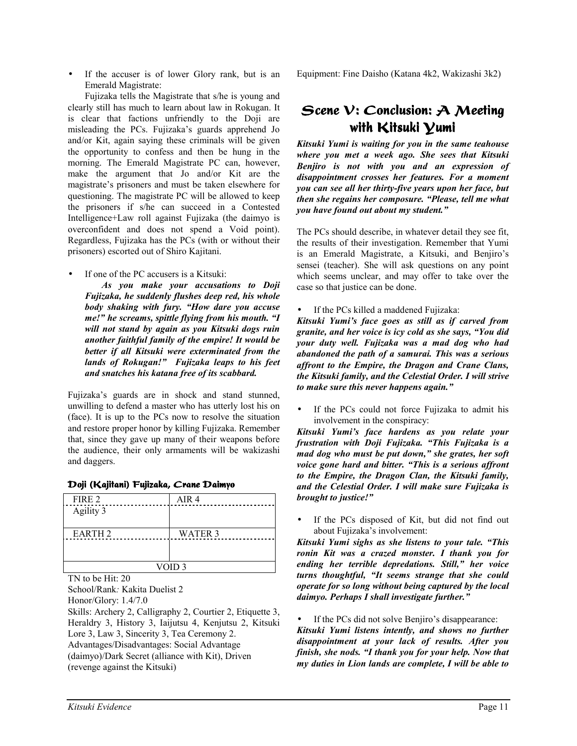If the accuser is of lower Glory rank, but is an Emerald Magistrate:

 Fujizaka tells the Magistrate that s/he is young and clearly still has much to learn about law in Rokugan. It is clear that factions unfriendly to the Doji are misleading the PCs. Fujizaka's guards apprehend Jo and/or Kit, again saying these criminals will be given the opportunity to confess and then be hung in the morning. The Emerald Magistrate PC can, however, make the argument that Jo and/or Kit are the magistrate's prisoners and must be taken elsewhere for questioning. The magistrate PC will be allowed to keep the prisoners if s/he can succeed in a Contested Intelligence+Law roll against Fujizaka (the daimyo is overconfident and does not spend a Void point). Regardless, Fujizaka has the PCs (with or without their prisoners) escorted out of Shiro Kajitani.

If one of the PC accusers is a Kitsuki:

 *As you make your accusations to Doji Fujizaka, he suddenly flushes deep red, his whole body shaking with fury. "How dare you accuse me!*" he screams, spittle flying from his mouth. "I *will not stand by again as you Kitsuki dogs ruin another faithful family of the empire! It would be better if all Kitsuki were exterminated from the lands of Rokugan!î Fujizaka leaps to his feet and snatches his katana free of its scabbard.* 

Fujizaka's guards are in shock and stand stunned, unwilling to defend a master who has utterly lost his on (face). It is up to the PCs now to resolve the situation and restore proper honor by killing Fujizaka. Remember that, since they gave up many of their weapons before the audience, their only armaments will be wakizashi and daggers.

#### Doji (Kajitani) Fujizaka, Crane Daimyo

| FIRE 2             | AIR <sub>4</sub> |  |
|--------------------|------------------|--|
| Agility 3          |                  |  |
|                    |                  |  |
| EARTH <sub>2</sub> | <b>WATER 3</b>   |  |
|                    |                  |  |
|                    |                  |  |
|                    |                  |  |
| VOID 3             |                  |  |
|                    |                  |  |

TN to be Hit: 20

School/Rank*:* Kakita Duelist 2

Honor/Glory: 1.4/7.0

Skills: Archery 2, Calligraphy 2, Courtier 2, Etiquette 3, Heraldry 3, History 3, Iaijutsu 4, Kenjutsu 2, Kitsuki Lore 3, Law 3, Sincerity 3, Tea Ceremony 2. Advantages/Disadvantages: Social Advantage (daimyo)/Dark Secret (alliance with Kit), Driven (revenge against the Kitsuki)

Equipment: Fine Daisho (Katana 4k2, Wakizashi 3k2)

## $\mathbf{S}$ cene V: Conclusion: A Meeting with Kitsuki  $\boldsymbol{\mathcal{Y}}$ umi

*Kitsuki Yumi is waiting for you in the same teahouse where you met a week ago. She sees that Kitsuki Benjiro is not with you and an expression of disappointment crosses her features. For a moment you can see all her thirty-five years upon her face, but then she regains her composure. "Please, tell me what you have found out about my student.î* 

The PCs should describe, in whatever detail they see fit, the results of their investigation. Remember that Yumi is an Emerald Magistrate, a Kitsuki, and Benjiro's sensei (teacher). She will ask questions on any point which seems unclear, and may offer to take over the case so that justice can be done.

If the PCs killed a maddened Fujizaka:

*Kitsuki Yumiís face goes as still as if carved from granite, and her voice is icy cold as she says, ìYou did your duty well. Fujizaka was a mad dog who had abandoned the path of a samurai. This was a serious affront to the Empire, the Dragon and Crane Clans, the Kitsuki family, and the Celestial Order. I will strive to make sure this never happens again.*"

If the PCs could not force Fujizaka to admit his involvement in the conspiracy:

*Kitsuki Yumiís face hardens as you relate your frustration with Doji Fujizaka. "This Fujizaka is a mad dog who must be put down," she grates, her soft voice gone hard and bitter. "This is a serious affront to the Empire, the Dragon Clan, the Kitsuki family, and the Celestial Order. I will make sure Fujizaka is brought to justice!"* 

If the PCs disposed of Kit, but did not find out about Fujizaka's involvement:

Kitsuki Yumi sighs as she listens to your tale. "This *ronin Kit was a crazed monster. I thank you for*  ending her terrible depredations. Still," her voice *turns thoughtful, "It seems strange that she could operate for so long without being captured by the local*  daimyo. Perhaps I shall investigate further."

If the PCs did not solve Benjiro's disappearance:

*Kitsuki Yumi listens intently, and shows no further disappointment at your lack of results. After you*  finish, she nods. "I thank you for your help. Now that *my duties in Lion lands are complete, I will be able to*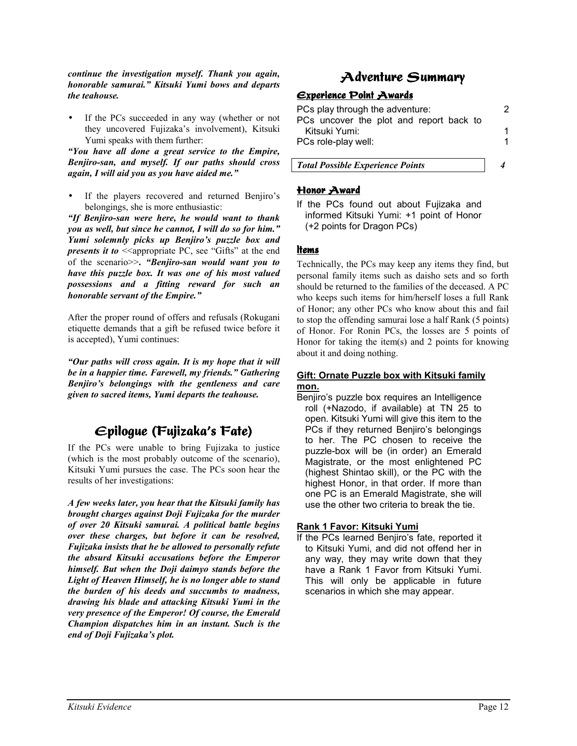*continue the investigation myself. Thank you again, honorable samurai.î Kitsuki Yumi bows and departs the teahouse.* 

If the PCs succeeded in any way (whether or not they uncovered Fujizaka's involvement), Kitsuki Yumi speaks with them further:

*ìYou have all done a great service to the Empire, Benjiro-san, and myself. If our paths should cross again, I will aid you as you have aided me.*"

If the players recovered and returned Benjiro's belongings, she is more enthusiastic:

*ìIf Benjiro-san were here, he would want to thank you as well, but since he cannot, I will do so for him.*" Yumi solemnly picks up Benjiro's puzzle box and *presents it to*  $\leq$  appropriate PC, see "Gifts" at the end of the scenario>>**.** *ìBenjiro-san would want you to have this puzzle box. It was one of his most valued possessions and a fitting reward for such an honorable servant of the Empire.*"

After the proper round of offers and refusals (Rokugani etiquette demands that a gift be refused twice before it is accepted), Yumi continues:

*ìOur paths will cross again. It is my hope that it will*  be in a happier time. Farewell, my friends." Gathering *Benjiroís belongings with the gentleness and care given to sacred items, Yumi departs the teahouse.* 

## Epilogue (Fujizaka's Fate)

If the PCs were unable to bring Fujizaka to justice (which is the most probably outcome of the scenario), Kitsuki Yumi pursues the case. The PCs soon hear the results of her investigations:

*A few weeks later, you hear that the Kitsuki family has brought charges against Doji Fujizaka for the murder of over 20 Kitsuki samurai. A political battle begins over these charges, but before it can be resolved, Fujizaka insists that he be allowed to personally refute the absurd Kitsuki accusations before the Emperor himself. But when the Doji daimyo stands before the Light of Heaven Himself, he is no longer able to stand the burden of his deeds and succumbs to madness, drawing his blade and attacking Kitsuki Yumi in the very presence of the Emperor! Of course, the Emerald Champion dispatches him in an instant. Such is the end of Doji Fujizaka's plot.* 

## Adventure Summary

#### <u>Experience Point Awards</u>

| PCs play through the adventure:         |  |
|-----------------------------------------|--|
| PCs uncover the plot and report back to |  |
| Kitsuki Yumi:                           |  |
| PCs role-play well:                     |  |

*Total Possible Experience Points 4* 

#### <u>Honor Award</u>

If the PCs found out about Fujizaka and informed Kitsuki Yumi: +1 point of Honor (+2 points for Dragon PCs)

#### ltems

Technically, the PCs may keep any items they find, but personal family items such as daisho sets and so forth should be returned to the families of the deceased. A PC who keeps such items for him/herself loses a full Rank of Honor; any other PCs who know about this and fail to stop the offending samurai lose a half Rank (5 points) of Honor. For Ronin PCs, the losses are 5 points of Honor for taking the item(s) and 2 points for knowing about it and doing nothing.

#### **Gift: Ornate Puzzle box with Kitsuki family mon.**

Benjiro's puzzle box requires an Intelligence roll (+Nazodo, if available) at TN 25 to open. Kitsuki Yumi will give this item to the PCs if they returned Benjiro's belongings to her. The PC chosen to receive the puzzle-box will be (in order) an Emerald Magistrate, or the most enlightened PC (highest Shintao skill), or the PC with the highest Honor, in that order. If more than one PC is an Emerald Magistrate, she will use the other two criteria to break the tie.

#### **Rank 1 Favor: Kitsuki Yumi**

If the PCs learned Benjiro's fate, reported it to Kitsuki Yumi, and did not offend her in any way, they may write down that they have a Rank 1 Favor from Kitsuki Yumi. This will only be applicable in future scenarios in which she may appear.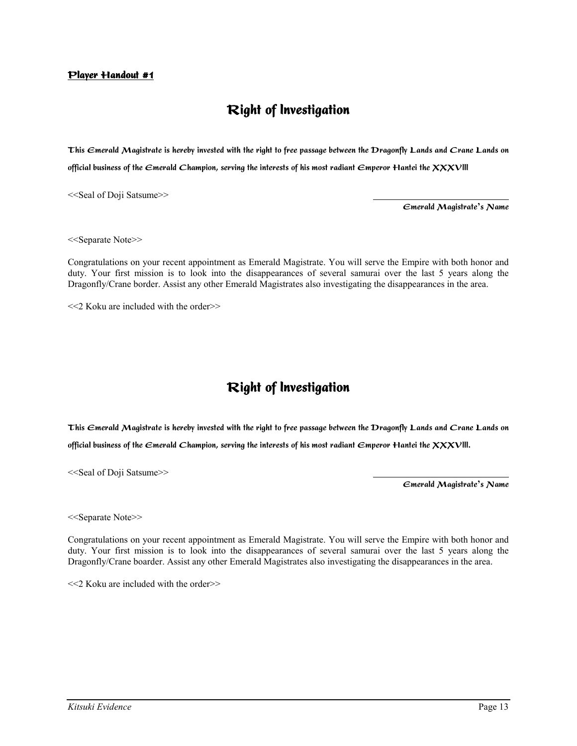## Right of Investigation

This Emerald Magistrate is hereby invested with the right to free passage between the Dragonfly Lands and Crane Lands on official business of the Emerald Champion, serving the interests of his most radiant Emperor Hantei the XXXVIII

<<Seal of Doji Satsume>>

**Contract Contract Contract Contract Contract Contract Contract Contract Contract Contract Contract Contract Contract Contract Contract Contract Contract Contract Contract Contract Contract Contract Contract Contract Contr** ld Magistrate's Name

<<Separate Note>>

Congratulations on your recent appointment as Emerald Magistrate. You will serve the Empire with both honor and duty. Your first mission is to look into the disappearances of several samurai over the last 5 years along the Dragonfly/Crane border. Assist any other Emerald Magistrates also investigating the disappearances in the area.

<<2 Koku are included with the order>>

## Right of Investigation

This Emerald Magistrate is hereby invested with the right to free passage between the Dragonfly Lands and Crane Lands on official business of the Emerald Champion, serving the interests of his most radiant Emperor Hantei the XXXVIII.

<<Seal of Doji Satsume>>

**Example 2** Contract 2 Contract 2 Contract 2 Contract 2 Contract 2 Contract 2 Contract 2 Contract 2 Contract 2 Contract 2 Contract 2 Contract 2 Contract 2 Contract 2 Contract 2 Contract 2 Contract 2 Contract 2 Contract 2 C ld Magistrate's Name

<<Separate Note>>

Congratulations on your recent appointment as Emerald Magistrate. You will serve the Empire with both honor and duty. Your first mission is to look into the disappearances of several samurai over the last 5 years along the Dragonfly/Crane boarder. Assist any other Emerald Magistrates also investigating the disappearances in the area.

<<2 Koku are included with the order>>